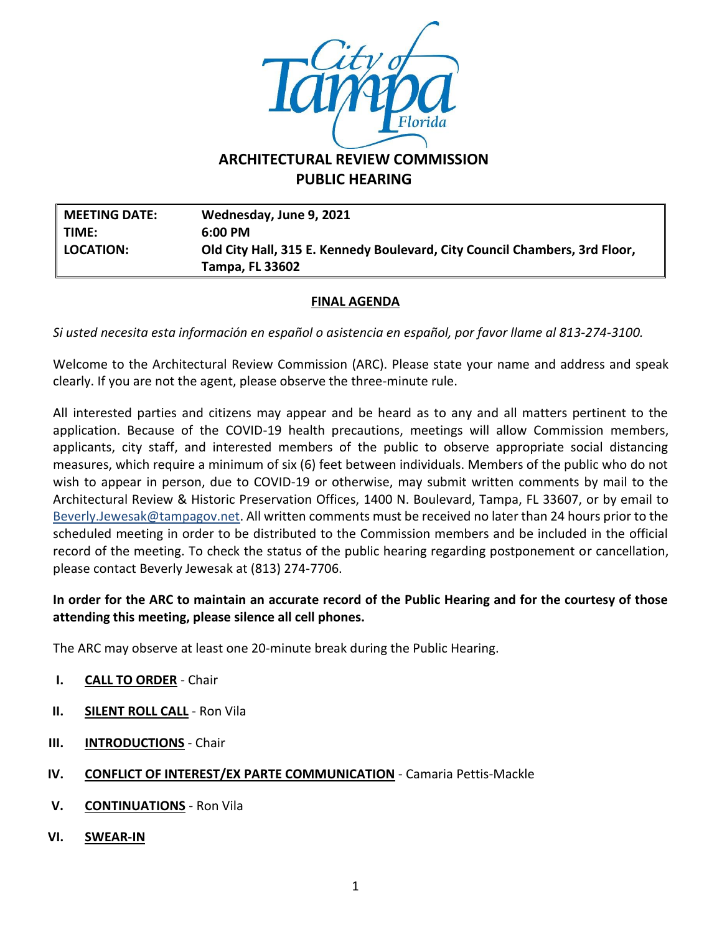

# **ARCHITECTURAL REVIEW COMMISSION PUBLIC HEARING**

**MEETING DATE: Wednesday, June 9, 2021 TIME: 6:00 PM LOCATION: Old City Hall, 315 E. Kennedy Boulevard, City Council Chambers, 3rd Floor, Tampa, FL 33602**

### **FINAL AGENDA**

*Si usted necesita esta información en español o asistencia en español, por favor llame al 813-274-3100.*

Welcome to the Architectural Review Commission (ARC). Please state your name and address and speak clearly. If you are not the agent, please observe the three-minute rule.

All interested parties and citizens may appear and be heard as to any and all matters pertinent to the application. Because of the COVID-19 health precautions, meetings will allow Commission members, applicants, city staff, and interested members of the public to observe appropriate social distancing measures, which require a minimum of six (6) feet between individuals. Members of the public who do not wish to appear in person, due to COVID-19 or otherwise, may submit written comments by mail to the Architectural Review & Historic Preservation Offices, 1400 N. Boulevard, Tampa, FL 33607, or by email to [Beverly.Jewesak@tampagov.net.](mailto:Beverly.Jewesak@tampagov.net) All written comments must be received no later than 24 hours prior to the scheduled meeting in order to be distributed to the Commission members and be included in the official record of the meeting. To check the status of the public hearing regarding postponement or cancellation, please contact Beverly Jewesak at (813) 274-7706.

#### **In order for the ARC to maintain an accurate record of the Public Hearing and for the courtesy of those attending this meeting, please silence all cell phones.**

The ARC may observe at least one 20-minute break during the Public Hearing.

- **I. CALL TO ORDER** Chair
- **II. SILENT ROLL CALL** Ron Vila
- **III. INTRODUCTIONS** Chair
- **IV. CONFLICT OF INTEREST/EX PARTE COMMUNICATION** Camaria Pettis-Mackle
- **V. CONTINUATIONS** Ron Vila
- **VI. SWEAR-IN**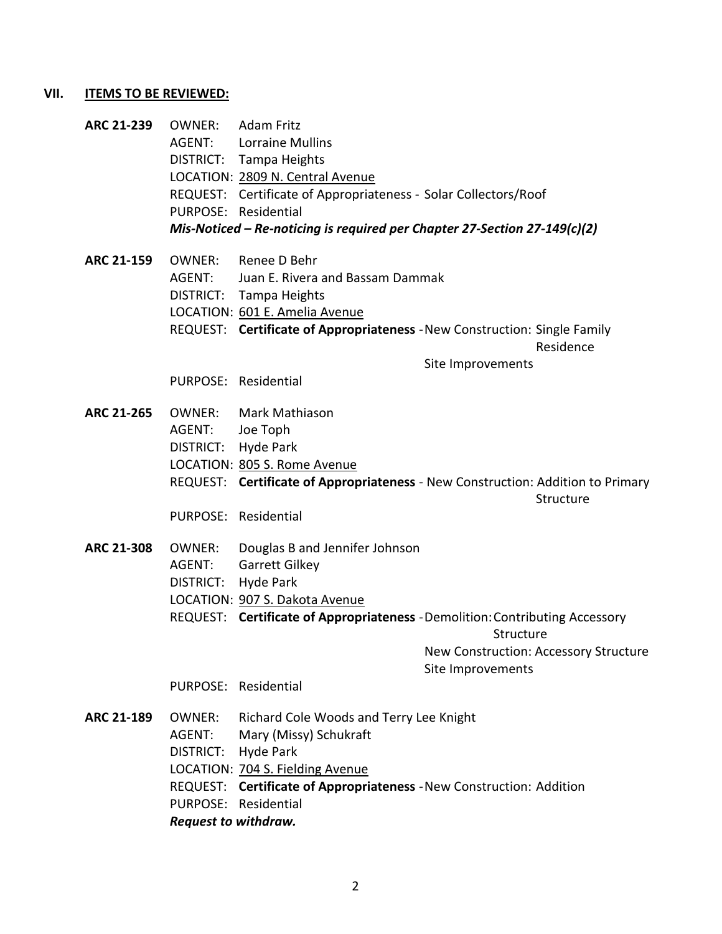## **VII. ITEMS TO BE REVIEWED:**

| ARC 21-239        | OWNER:                                                                    | <b>Adam Fritz</b>                                                               |                   |                                       |
|-------------------|---------------------------------------------------------------------------|---------------------------------------------------------------------------------|-------------------|---------------------------------------|
|                   | AGENT:                                                                    | <b>Lorraine Mullins</b>                                                         |                   |                                       |
|                   |                                                                           | DISTRICT: Tampa Heights                                                         |                   |                                       |
|                   | LOCATION: 2809 N. Central Avenue                                          |                                                                                 |                   |                                       |
|                   |                                                                           | REQUEST: Certificate of Appropriateness - Solar Collectors/Roof                 |                   |                                       |
|                   |                                                                           | PURPOSE: Residential                                                            |                   |                                       |
|                   | Mis-Noticed – Re-noticing is required per Chapter 27-Section 27-149(c)(2) |                                                                                 |                   |                                       |
| <b>ARC 21-159</b> | OWNER:                                                                    | Renee D Behr                                                                    |                   |                                       |
|                   | AGENT:                                                                    | Juan E. Rivera and Bassam Dammak                                                |                   |                                       |
|                   |                                                                           | DISTRICT: Tampa Heights                                                         |                   |                                       |
|                   |                                                                           | LOCATION: 601 E. Amelia Avenue                                                  |                   |                                       |
|                   |                                                                           | REQUEST: Certificate of Appropriateness - New Construction: Single Family       |                   | Residence                             |
|                   |                                                                           |                                                                                 | Site Improvements |                                       |
|                   |                                                                           | PURPOSE: Residential                                                            |                   |                                       |
| <b>ARC 21-265</b> | OWNER:                                                                    | Mark Mathiason                                                                  |                   |                                       |
|                   | AGENT:                                                                    | Joe Toph                                                                        |                   |                                       |
|                   | DISTRICT:                                                                 | Hyde Park                                                                       |                   |                                       |
|                   |                                                                           | LOCATION: 805 S. Rome Avenue                                                    |                   |                                       |
|                   |                                                                           | REQUEST: Certificate of Appropriateness - New Construction: Addition to Primary |                   |                                       |
|                   |                                                                           |                                                                                 |                   | Structure                             |
|                   |                                                                           | PURPOSE: Residential                                                            |                   |                                       |
| <b>ARC 21-308</b> | OWNER:                                                                    | Douglas B and Jennifer Johnson                                                  |                   |                                       |
|                   | AGENT:                                                                    | Garrett Gilkey                                                                  |                   |                                       |
|                   | DISTRICT:                                                                 | Hyde Park                                                                       |                   |                                       |
|                   |                                                                           | LOCATION: 907 S. Dakota Avenue                                                  |                   |                                       |
|                   |                                                                           | REQUEST: Certificate of Appropriateness - Demolition: Contributing Accessory    | Structure         |                                       |
|                   |                                                                           |                                                                                 |                   | New Construction: Accessory Structure |
|                   |                                                                           |                                                                                 | Site Improvements |                                       |
|                   |                                                                           | PURPOSE: Residential                                                            |                   |                                       |
| <b>ARC 21-189</b> | OWNER:                                                                    | Richard Cole Woods and Terry Lee Knight                                         |                   |                                       |
|                   | AGENT:                                                                    | Mary (Missy) Schukraft                                                          |                   |                                       |
|                   | DISTRICT:                                                                 | <b>Hyde Park</b>                                                                |                   |                                       |
|                   |                                                                           | LOCATION: 704 S. Fielding Avenue                                                |                   |                                       |
|                   | REQUEST: Certificate of Appropriateness - New Construction: Addition      |                                                                                 |                   |                                       |
|                   |                                                                           | PURPOSE: Residential                                                            |                   |                                       |
|                   | Request to withdraw.                                                      |                                                                                 |                   |                                       |